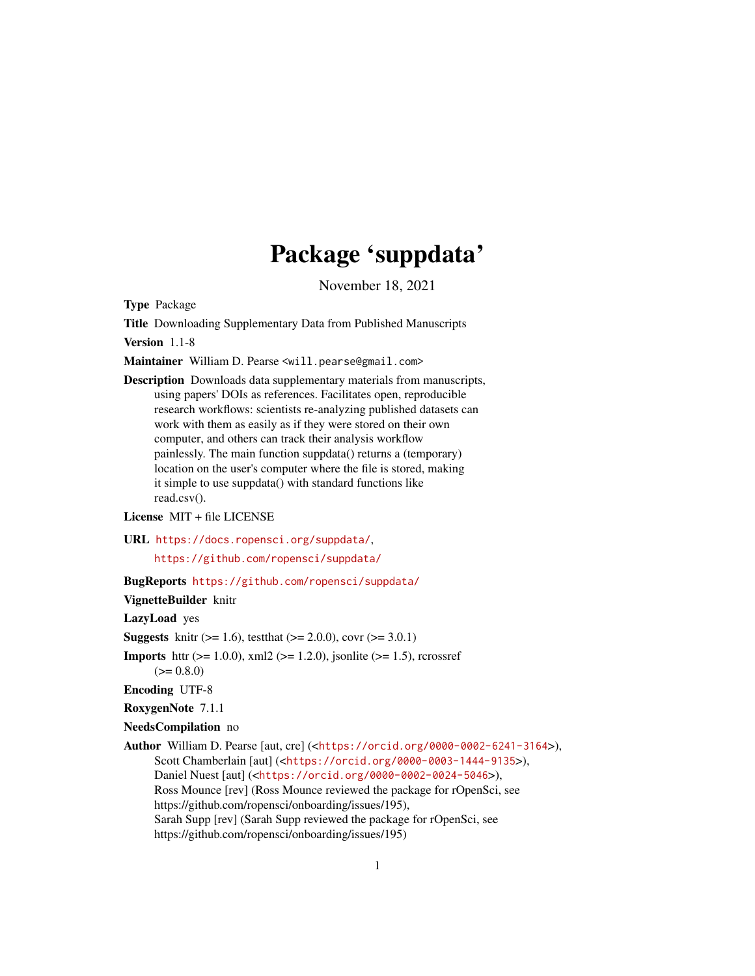## Package 'suppdata'

November 18, 2021

<span id="page-0-0"></span>Type Package

Title Downloading Supplementary Data from Published Manuscripts

Version 1.1-8

Maintainer William D. Pearse <will.pearse@gmail.com>

Description Downloads data supplementary materials from manuscripts, using papers' DOIs as references. Facilitates open, reproducible research workflows: scientists re-analyzing published datasets can work with them as easily as if they were stored on their own computer, and others can track their analysis workflow painlessly. The main function suppdata() returns a (temporary) location on the user's computer where the file is stored, making it simple to use suppdata() with standard functions like read.csv().

License MIT + file LICENSE

URL <https://docs.ropensci.org/suppdata/>,

<https://github.com/ropensci/suppdata/>

BugReports <https://github.com/ropensci/suppdata/>

VignetteBuilder knitr

LazyLoad yes

**Suggests** knitr ( $>= 1.6$ ), test that ( $>= 2.0.0$ ), covr ( $>= 3.0.1$ )

**Imports** httr ( $>= 1.0.0$ ), xml2 ( $>= 1.2.0$ ), jsonlite ( $>= 1.5$ ), rcrossref  $(>= 0.8.0)$ 

Encoding UTF-8

RoxygenNote 7.1.1

NeedsCompilation no

Author William D. Pearse [aut, cre] (<<https://orcid.org/0000-0002-6241-3164>>), Scott Chamberlain [aut] (<<https://orcid.org/0000-0003-1444-9135>>), Daniel Nuest [aut] (<<https://orcid.org/0000-0002-0024-5046>>), Ross Mounce [rev] (Ross Mounce reviewed the package for rOpenSci, see https://github.com/ropensci/onboarding/issues/195), Sarah Supp [rev] (Sarah Supp reviewed the package for rOpenSci, see https://github.com/ropensci/onboarding/issues/195)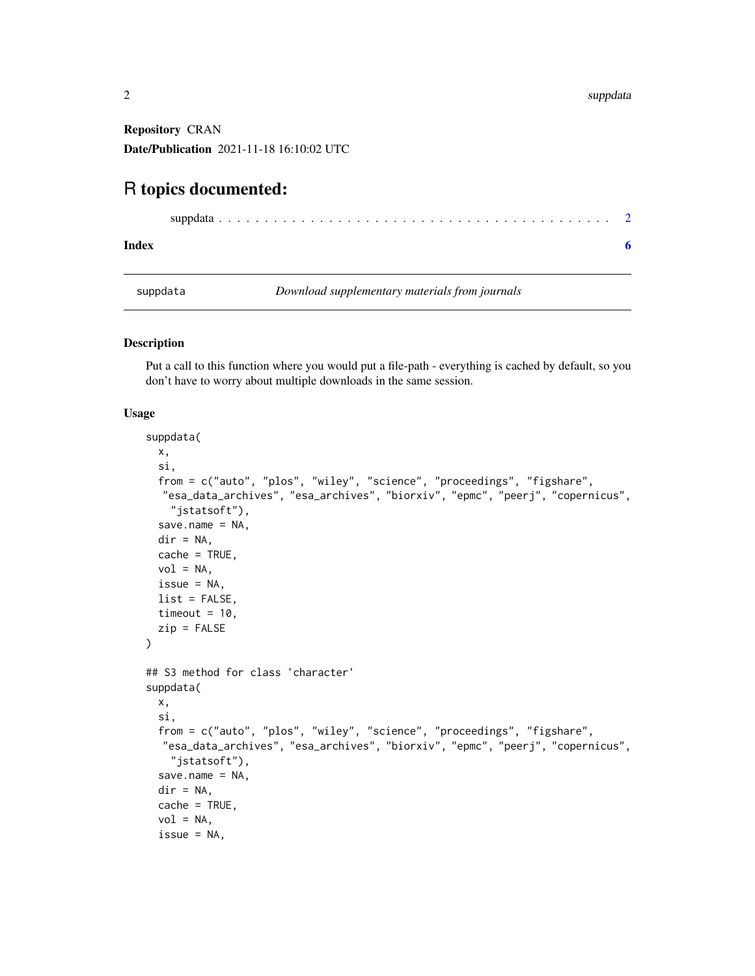<span id="page-1-0"></span>Repository CRAN Date/Publication 2021-11-18 16:10:02 UTC

### R topics documented:

|--|--|--|

```
Index6 6
```
suppdata *Download supplementary materials from journals*

#### Description

Put a call to this function where you would put a file-path - everything is cached by default, so you don't have to worry about multiple downloads in the same session.

#### Usage

```
suppdata(
 x,
  si,
  from = c("auto", "plos", "wiley", "science", "proceedings", "figshare",
  "esa_data_archives", "esa_archives", "biorxiv", "epmc", "peerj", "copernicus",
   "jstatsoft"),
  save.name = NA,
  dir = NA,
 cache = TRUE,vol = NA,
  issue = NA,
 list = FALSE,
  timeout = 10,
 zip = FALSE\lambda## S3 method for class 'character'
suppdata(
 x,
  si,
  from = c("auto", "plos", "wiley", "science", "proceedings", "figshare",
  "esa_data_archives", "esa_archives", "biorxiv", "epmc", "peerj", "copernicus",
    "jstatsoft"),
  save.name = NA,
  dir = NA,
  cache = TRUE,vol = NA,
  issue = NA,
```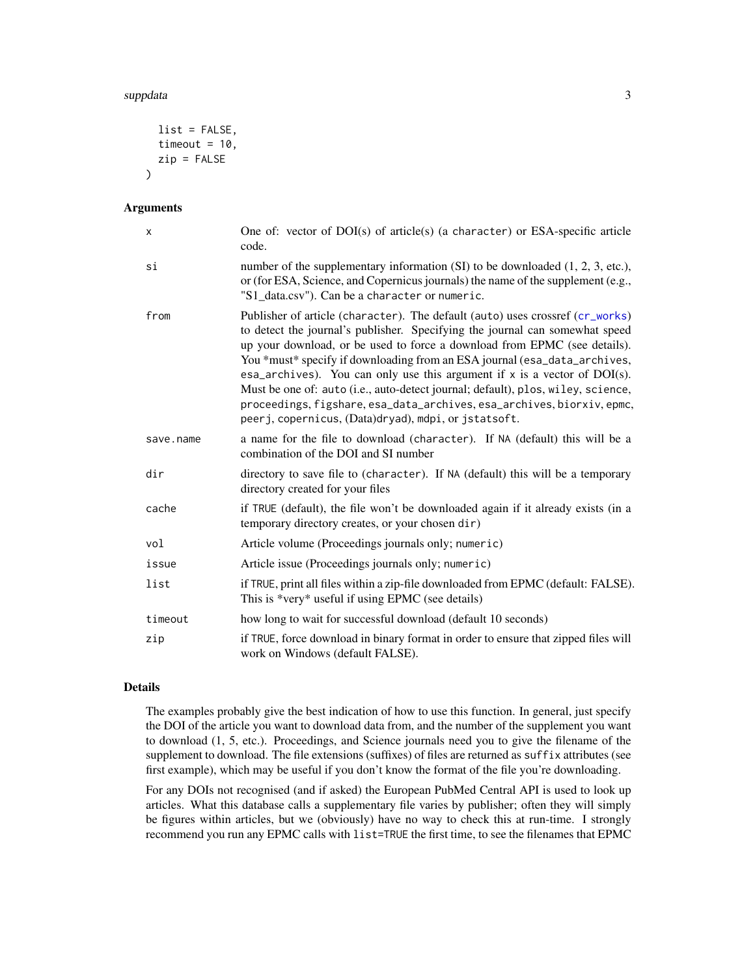#### <span id="page-2-0"></span>suppdata 3 and 3 and 3 and 3 and 3 and 3 and 3 and 3 and 3 and 3 and 3 and 3 and 3 and 3 and 3 and 3 and 3 and 3 and 3 and 3 and 3 and 3 and 3 and 3 and 3 and 3 and 3 and 3 and 3 and 3 and 3 and 3 and 3 and 3 and 3 and 3 a

```
list = FALSE,
  timeout = 10,
  zip = FALSE\lambda
```
#### Arguments

| X         | One of: vector of $DOI(s)$ of article(s) (a character) or ESA-specific article<br>code.                                                                                                                                                                                                                                                                                                                                                                                                                                                                                                                                         |  |
|-----------|---------------------------------------------------------------------------------------------------------------------------------------------------------------------------------------------------------------------------------------------------------------------------------------------------------------------------------------------------------------------------------------------------------------------------------------------------------------------------------------------------------------------------------------------------------------------------------------------------------------------------------|--|
| si        | number of the supplementary information $(SI)$ to be downloaded $(1, 2, 3, etc.),$<br>or (for ESA, Science, and Copernicus journals) the name of the supplement (e.g.,<br>"S1_data.csv"). Can be a character or numeric.                                                                                                                                                                                                                                                                                                                                                                                                        |  |
| from      | Publisher of article (character). The default (auto) uses crossref (cr_works)<br>to detect the journal's publisher. Specifying the journal can somewhat speed<br>up your download, or be used to force a download from EPMC (see details).<br>You *must* specify if downloading from an ESA journal (esa_data_archives,<br>esa_archives). You can only use this argument if $x$ is a vector of $DOI(s)$ .<br>Must be one of: auto (i.e., auto-detect journal; default), plos, wiley, science,<br>proceedings, figshare, esa_data_archives, esa_archives, biorxiv, epmc,<br>peerj, copernicus, (Data)dryad), mdpi, or jstatsoft. |  |
| save.name | a name for the file to download (character). If NA (default) this will be a<br>combination of the DOI and SI number                                                                                                                                                                                                                                                                                                                                                                                                                                                                                                             |  |
| dir       | directory to save file to (character). If NA (default) this will be a temporary<br>directory created for your files                                                                                                                                                                                                                                                                                                                                                                                                                                                                                                             |  |
| cache     | if TRUE (default), the file won't be downloaded again if it already exists (in a<br>temporary directory creates, or your chosen dir)                                                                                                                                                                                                                                                                                                                                                                                                                                                                                            |  |
| vol       | Article volume (Proceedings journals only; numeric)                                                                                                                                                                                                                                                                                                                                                                                                                                                                                                                                                                             |  |
| issue     | Article issue (Proceedings journals only; numeric)                                                                                                                                                                                                                                                                                                                                                                                                                                                                                                                                                                              |  |
| list      | if TRUE, print all files within a zip-file downloaded from EPMC (default: FALSE).<br>This is *very* useful if using EPMC (see details)                                                                                                                                                                                                                                                                                                                                                                                                                                                                                          |  |
| timeout   | how long to wait for successful download (default 10 seconds)                                                                                                                                                                                                                                                                                                                                                                                                                                                                                                                                                                   |  |
| zip       | if TRUE, force download in binary format in order to ensure that zipped files will<br>work on Windows (default FALSE).                                                                                                                                                                                                                                                                                                                                                                                                                                                                                                          |  |

#### Details

The examples probably give the best indication of how to use this function. In general, just specify the DOI of the article you want to download data from, and the number of the supplement you want to download (1, 5, etc.). Proceedings, and Science journals need you to give the filename of the supplement to download. The file extensions (suffixes) of files are returned as suffix attributes (see first example), which may be useful if you don't know the format of the file you're downloading.

For any DOIs not recognised (and if asked) the European PubMed Central API is used to look up articles. What this database calls a supplementary file varies by publisher; often they will simply be figures within articles, but we (obviously) have no way to check this at run-time. I strongly recommend you run any EPMC calls with list=TRUE the first time, to see the filenames that EPMC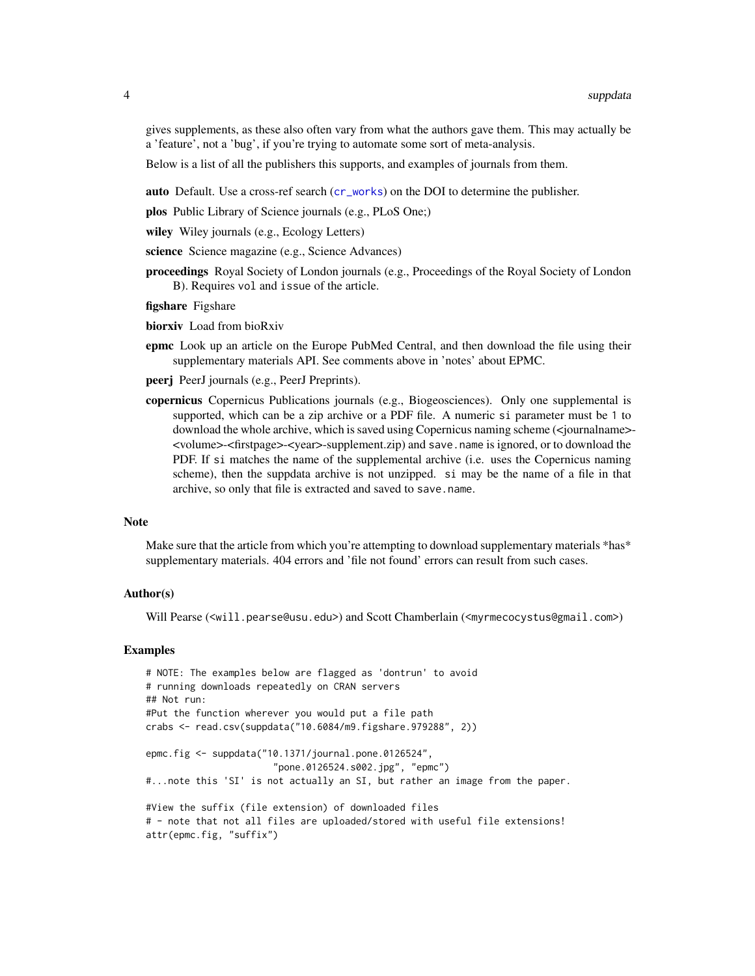<span id="page-3-0"></span>gives supplements, as these also often vary from what the authors gave them. This may actually be a 'feature', not a 'bug', if you're trying to automate some sort of meta-analysis.

Below is a list of all the publishers this supports, and examples of journals from them.

auto Default. Use a cross-ref search ([cr\\_works](#page-0-0)) on the DOI to determine the publisher.

plos Public Library of Science journals (e.g., PLoS One;)

wiley Wiley journals (e.g., Ecology Letters)

science Science magazine (e.g., Science Advances)

proceedings Royal Society of London journals (e.g., Proceedings of the Royal Society of London B). Requires vol and issue of the article.

figshare Figshare

biorxiv Load from bioRxiv

epmc Look up an article on the Europe PubMed Central, and then download the file using their supplementary materials API. See comments above in 'notes' about EPMC.

peerj PeerJ journals (e.g., PeerJ Preprints).

copernicus Copernicus Publications journals (e.g., Biogeosciences). Only one supplemental is supported, which can be a zip archive or a PDF file. A numeric si parameter must be 1 to download the whole archive, which is saved using Copernicus naming scheme (<journalname>- <volume>-<firstpage>-<year>-supplement.zip) and save.name is ignored, or to download the PDF. If si matches the name of the supplemental archive (i.e. uses the Copernicus naming scheme), then the suppdata archive is not unzipped. si may be the name of a file in that archive, so only that file is extracted and saved to save.name.

#### **Note**

Make sure that the article from which you're attempting to download supplementary materials \*has\* supplementary materials. 404 errors and 'file not found' errors can result from such cases.

#### Author(s)

Will Pearse (<will.pearse@usu.edu>) and Scott Chamberlain (<myrmecocystus@gmail.com>)

#### Examples

```
# NOTE: The examples below are flagged as 'dontrun' to avoid
# running downloads repeatedly on CRAN servers
## Not run:
#Put the function wherever you would put a file path
crabs <- read.csv(suppdata("10.6084/m9.figshare.979288", 2))
epmc.fig <- suppdata("10.1371/journal.pone.0126524",
                       "pone.0126524.s002.jpg", "epmc")
#...note this 'SI' is not actually an SI, but rather an image from the paper.
#View the suffix (file extension) of downloaded files
# - note that not all files are uploaded/stored with useful file extensions!
attr(epmc.fig, "suffix")
```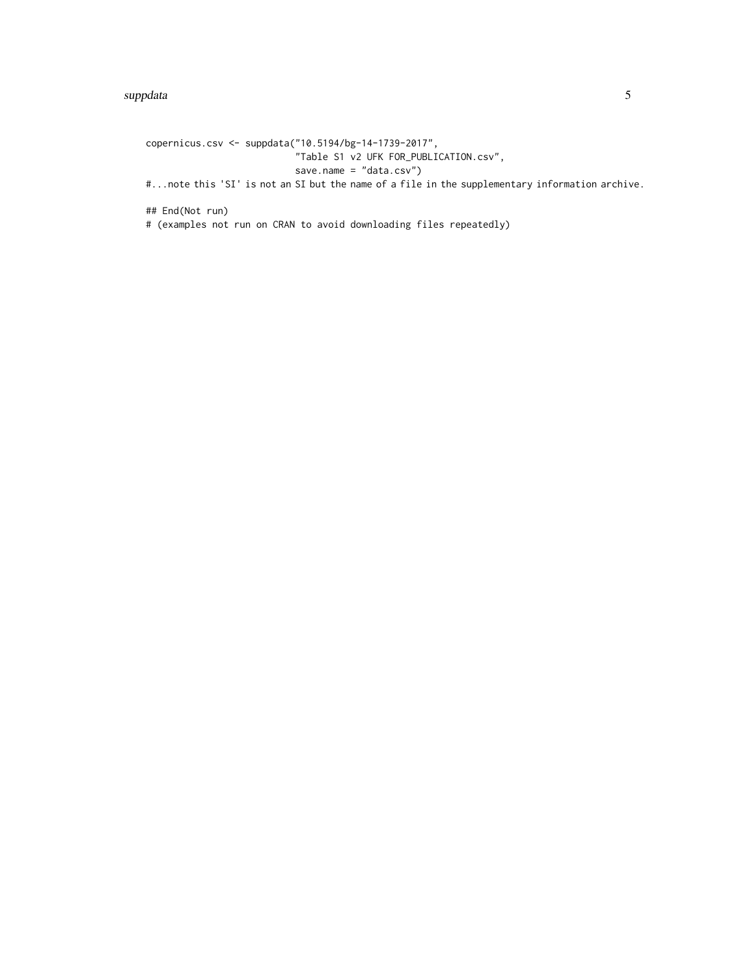copernicus.csv <- suppdata("10.5194/bg-14-1739-2017", "Table S1 v2 UFK FOR\_PUBLICATION.csv", save.name = "data.csv") #...note this 'SI' is not an SI but the name of a file in the supplementary information archive. ## End(Not run) # (examples not run on CRAN to avoid downloading files repeatedly)